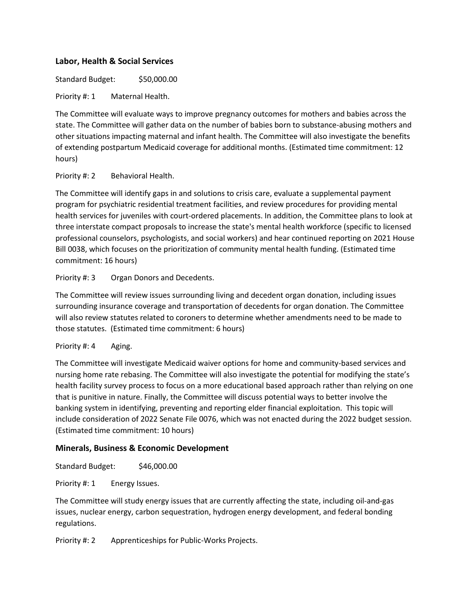# **Labor, Health & Social Services**

Standard Budget: \$50,000.00

Priority #: 1 Maternal Health.

The Committee will evaluate ways to improve pregnancy outcomes for mothers and babies across the state. The Committee will gather data on the number of babies born to substance-abusing mothers and other situations impacting maternal and infant health. The Committee will also investigate the benefits of extending postpartum Medicaid coverage for additional months. (Estimated time commitment: 12 hours)

#### Priority #: 2 Behavioral Health.

The Committee will identify gaps in and solutions to crisis care, evaluate a supplemental payment program for psychiatric residential treatment facilities, and review procedures for providing mental health services for juveniles with court-ordered placements. In addition, the Committee plans to look at three interstate compact proposals to increase the state's mental health workforce (specific to licensed professional counselors, psychologists, and social workers) and hear continued reporting on 2021 House Bill 0038, which focuses on the prioritization of community mental health funding. (Estimated time commitment: 16 hours)

Priority #: 3 Organ Donors and Decedents.

The Committee will review issues surrounding living and decedent organ donation, including issues surrounding insurance coverage and transportation of decedents for organ donation. The Committee will also review statutes related to coroners to determine whether amendments need to be made to those statutes. (Estimated time commitment: 6 hours)

## Priority #: 4 Aging.

The Committee will investigate Medicaid waiver options for home and community-based services and nursing home rate rebasing. The Committee will also investigate the potential for modifying the state's health facility survey process to focus on a more educational based approach rather than relying on one that is punitive in nature. Finally, the Committee will discuss potential ways to better involve the banking system in identifying, preventing and reporting elder financial exploitation. This topic will include consideration of 2022 Senate File 0076, which was not enacted during the 2022 budget session. (Estimated time commitment: 10 hours)

## **Minerals, Business & Economic Development**

Standard Budget: \$46,000.00

Priority #: 1 Energy Issues.

The Committee will study energy issues that are currently affecting the state, including oil-and-gas issues, nuclear energy, carbon sequestration, hydrogen energy development, and federal bonding regulations.

Priority #: 2 Apprenticeships for Public-Works Projects.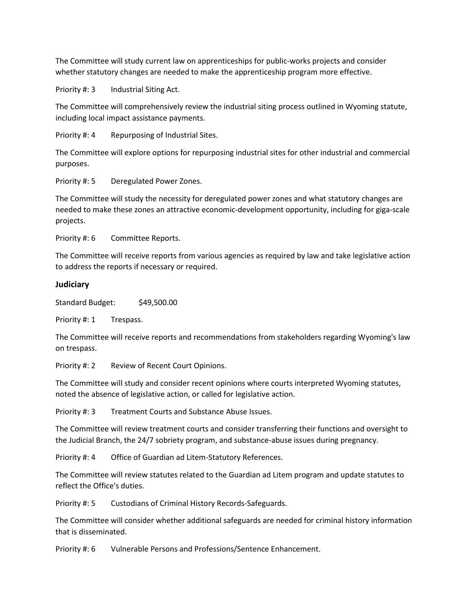The Committee will study current law on apprenticeships for public-works projects and consider whether statutory changes are needed to make the apprenticeship program more effective.

Priority #: 3 Industrial Siting Act.

The Committee will comprehensively review the industrial siting process outlined in Wyoming statute, including local impact assistance payments.

Priority #: 4 Repurposing of Industrial Sites.

The Committee will explore options for repurposing industrial sites for other industrial and commercial purposes.

Priority #: 5 Deregulated Power Zones.

The Committee will study the necessity for deregulated power zones and what statutory changes are needed to make these zones an attractive economic-development opportunity, including for giga-scale projects.

Priority #: 6 Committee Reports.

The Committee will receive reports from various agencies as required by law and take legislative action to address the reports if necessary or required.

#### **Judiciary**

Standard Budget: \$49,500.00

Priority #: 1 Trespass.

The Committee will receive reports and recommendations from stakeholders regarding Wyoming's law on trespass.

Priority #: 2 Review of Recent Court Opinions.

The Committee will study and consider recent opinions where courts interpreted Wyoming statutes, noted the absence of legislative action, or called for legislative action.

Priority #: 3 Treatment Courts and Substance Abuse Issues.

The Committee will review treatment courts and consider transferring their functions and oversight to the Judicial Branch, the 24/7 sobriety program, and substance-abuse issues during pregnancy.

Priority #: 4 Office of Guardian ad Litem-Statutory References.

The Committee will review statutes related to the Guardian ad Litem program and update statutes to reflect the Office's duties.

Priority #: 5 Custodians of Criminal History Records-Safeguards.

The Committee will consider whether additional safeguards are needed for criminal history information that is disseminated.

Priority #: 6 Vulnerable Persons and Professions/Sentence Enhancement.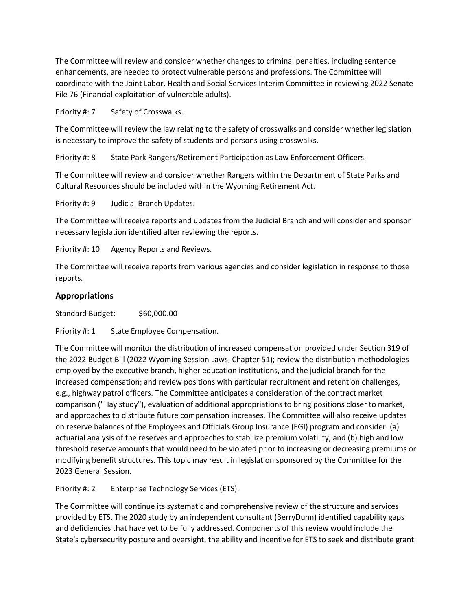The Committee will review and consider whether changes to criminal penalties, including sentence enhancements, are needed to protect vulnerable persons and professions. The Committee will coordinate with the Joint Labor, Health and Social Services Interim Committee in reviewing 2022 Senate File 76 (Financial exploitation of vulnerable adults).

Priority #: 7 Safety of Crosswalks.

The Committee will review the law relating to the safety of crosswalks and consider whether legislation is necessary to improve the safety of students and persons using crosswalks.

Priority #: 8 State Park Rangers/Retirement Participation as Law Enforcement Officers.

The Committee will review and consider whether Rangers within the Department of State Parks and Cultural Resources should be included within the Wyoming Retirement Act.

Priority #: 9 Judicial Branch Updates.

The Committee will receive reports and updates from the Judicial Branch and will consider and sponsor necessary legislation identified after reviewing the reports.

Priority #: 10 Agency Reports and Reviews.

The Committee will receive reports from various agencies and consider legislation in response to those reports.

## **Appropriations**

Standard Budget: \$60,000.00

Priority #: 1 State Employee Compensation.

The Committee will monitor the distribution of increased compensation provided under Section 319 of the 2022 Budget Bill (2022 Wyoming Session Laws, Chapter 51); review the distribution methodologies employed by the executive branch, higher education institutions, and the judicial branch for the increased compensation; and review positions with particular recruitment and retention challenges, e.g., highway patrol officers. The Committee anticipates a consideration of the contract market comparison ("Hay study"), evaluation of additional appropriations to bring positions closer to market, and approaches to distribute future compensation increases. The Committee will also receive updates on reserve balances of the Employees and Officials Group Insurance (EGI) program and consider: (a) actuarial analysis of the reserves and approaches to stabilize premium volatility; and (b) high and low threshold reserve amounts that would need to be violated prior to increasing or decreasing premiums or modifying benefit structures. This topic may result in legislation sponsored by the Committee for the 2023 General Session.

Priority #: 2 Enterprise Technology Services (ETS).

The Committee will continue its systematic and comprehensive review of the structure and services provided by ETS. The 2020 study by an independent consultant (BerryDunn) identified capability gaps and deficiencies that have yet to be fully addressed. Components of this review would include the State's cybersecurity posture and oversight, the ability and incentive for ETS to seek and distribute grant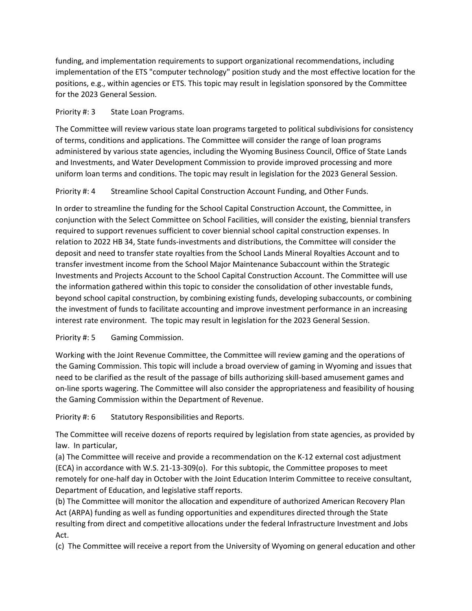funding, and implementation requirements to support organizational recommendations, including implementation of the ETS "computer technology" position study and the most effective location for the positions, e.g., within agencies or ETS. This topic may result in legislation sponsored by the Committee for the 2023 General Session.

#### Priority #: 3 State Loan Programs.

The Committee will review various state loan programs targeted to political subdivisions for consistency of terms, conditions and applications. The Committee will consider the range of loan programs administered by various state agencies, including the Wyoming Business Council, Office of State Lands and Investments, and Water Development Commission to provide improved processing and more uniform loan terms and conditions. The topic may result in legislation for the 2023 General Session.

## Priority #: 4 Streamline School Capital Construction Account Funding, and Other Funds.

In order to streamline the funding for the School Capital Construction Account, the Committee, in conjunction with the Select Committee on School Facilities, will consider the existing, biennial transfers required to support revenues sufficient to cover biennial school capital construction expenses. In relation to 2022 HB 34, State funds-investments and distributions, the Committee will consider the deposit and need to transfer state royalties from the School Lands Mineral Royalties Account and to transfer investment income from the School Major Maintenance Subaccount within the Strategic Investments and Projects Account to the School Capital Construction Account. The Committee will use the information gathered within this topic to consider the consolidation of other investable funds, beyond school capital construction, by combining existing funds, developing subaccounts, or combining the investment of funds to facilitate accounting and improve investment performance in an increasing interest rate environment. The topic may result in legislation for the 2023 General Session.

## Priority #: 5 Gaming Commission.

Working with the Joint Revenue Committee, the Committee will review gaming and the operations of the Gaming Commission. This topic will include a broad overview of gaming in Wyoming and issues that need to be clarified as the result of the passage of bills authorizing skill-based amusement games and on-line sports wagering. The Committee will also consider the appropriateness and feasibility of housing the Gaming Commission within the Department of Revenue.

Priority #: 6 Statutory Responsibilities and Reports.

The Committee will receive dozens of reports required by legislation from state agencies, as provided by law. In particular,

(a) The Committee will receive and provide a recommendation on the K-12 external cost adjustment (ECA) in accordance with W.S. 21-13-309(o). For this subtopic, the Committee proposes to meet remotely for one-half day in October with the Joint Education Interim Committee to receive consultant, Department of Education, and legislative staff reports.

(b) The Committee will monitor the allocation and expenditure of authorized American Recovery Plan Act (ARPA) funding as well as funding opportunities and expenditures directed through the State resulting from direct and competitive allocations under the federal Infrastructure Investment and Jobs Act.

(c) The Committee will receive a report from the University of Wyoming on general education and other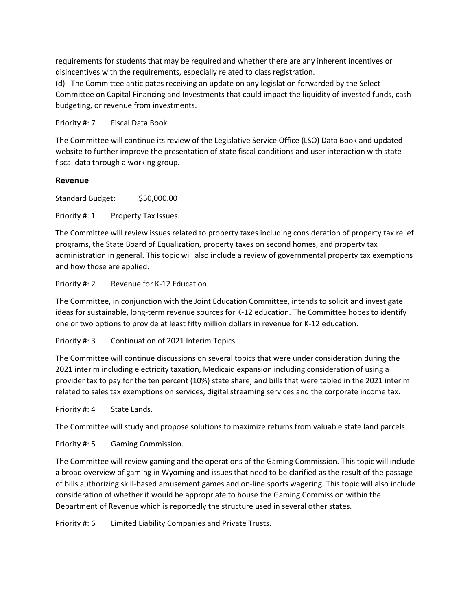requirements for students that may be required and whether there are any inherent incentives or disincentives with the requirements, especially related to class registration.

(d) The Committee anticipates receiving an update on any legislation forwarded by the Select Committee on Capital Financing and Investments that could impact the liquidity of invested funds, cash budgeting, or revenue from investments.

Priority #: 7 Fiscal Data Book.

The Committee will continue its review of the Legislative Service Office (LSO) Data Book and updated website to further improve the presentation of state fiscal conditions and user interaction with state fiscal data through a working group.

#### **Revenue**

Standard Budget: \$50,000.00

Priority #: 1 Property Tax Issues.

The Committee will review issues related to property taxes including consideration of property tax relief programs, the State Board of Equalization, property taxes on second homes, and property tax administration in general. This topic will also include a review of governmental property tax exemptions and how those are applied.

Priority #: 2 Revenue for K-12 Education.

The Committee, in conjunction with the Joint Education Committee, intends to solicit and investigate ideas for sustainable, long-term revenue sources for K-12 education. The Committee hopes to identify one or two options to provide at least fifty million dollars in revenue for K-12 education.

Priority #: 3 Continuation of 2021 Interim Topics.

The Committee will continue discussions on several topics that were under consideration during the 2021 interim including electricity taxation, Medicaid expansion including consideration of using a provider tax to pay for the ten percent (10%) state share, and bills that were tabled in the 2021 interim related to sales tax exemptions on services, digital streaming services and the corporate income tax.

Priority #: 4 State Lands.

The Committee will study and propose solutions to maximize returns from valuable state land parcels.

Priority #: 5 Gaming Commission.

The Committee will review gaming and the operations of the Gaming Commission. This topic will include a broad overview of gaming in Wyoming and issues that need to be clarified as the result of the passage of bills authorizing skill-based amusement games and on-line sports wagering. This topic will also include consideration of whether it would be appropriate to house the Gaming Commission within the Department of Revenue which is reportedly the structure used in several other states.

Priority #: 6 Limited Liability Companies and Private Trusts.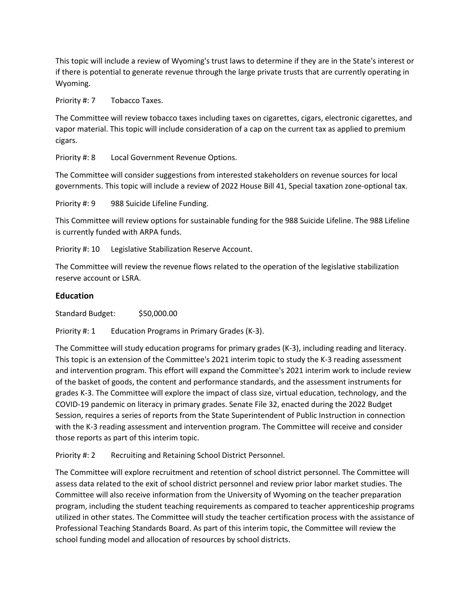This topic will include a review of Wyoming's trust laws to determine if they are in the State's interest or if there is potential to generate revenue through the large private trusts that are currently operating in Wyoming.

Priority #: 7 Tobacco Taxes.

The Committee will review tobacco taxes including taxes on cigarettes, cigars, electronic cigarettes, and vapor material. This topic will include consideration of a cap on the current tax as applied to premium cigars.

Priority #: 8 Local Government Revenue Options.

The Committee will consider suggestions from interested stakeholders on revenue sources for local governments. This topic will include a review of 2022 House Bill 41, Special taxation zone-optional tax.

Priority #: 9 988 Suicide Lifeline Funding.

This Committee will review options for sustainable funding for the 988 Suicide Lifeline. The 988 Lifeline is currently funded with ARPA funds.

Priority #: 10 Legislative Stabilization Reserve Account.

The Committee will review the revenue flows related to the operation of the legislative stabilization reserve account or LSRA.

#### **Education**

Standard Budget: \$50,000.00

Priority #: 1 Education Programs in Primary Grades (K-3).

The Committee will study education programs for primary grades (K-3), including reading and literacy. This topic is an extension of the Committee's 2021 interim topic to study the K-3 reading assessment and intervention program. This effort will expand the Committee's 2021 interim work to include review of the basket of goods, the content and performance standards, and the assessment instruments for grades K-3. The Committee will explore the impact of class size, virtual education, technology, and the COVID-19 pandemic on literacy in primary grades. Senate File 32, enacted during the 2022 Budget Session, requires a series of reports from the State Superintendent of Public Instruction in connection with the K-3 reading assessment and intervention program. The Committee will receive and consider those reports as part of this interim topic.

Priority #: 2 Recruiting and Retaining School District Personnel.

The Committee will explore recruitment and retention of school district personnel. The Committee will assess data related to the exit of school district personnel and review prior labor market studies. The Committee will also receive information from the University of Wyoming on the teacher preparation program, including the student teaching requirements as compared to teacher apprenticeship programs utilized in other states. The Committee will study the teacher certification process with the assistance of Professional Teaching Standards Board. As part of this interim topic, the Committee will review the school funding model and allocation of resources by school districts.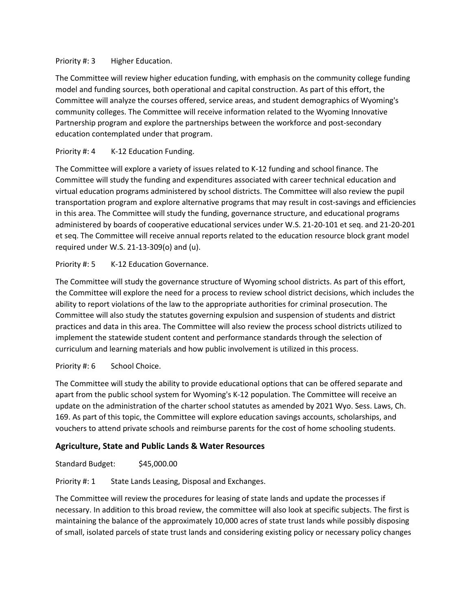#### Priority #: 3 Higher Education.

The Committee will review higher education funding, with emphasis on the community college funding model and funding sources, both operational and capital construction. As part of this effort, the Committee will analyze the courses offered, service areas, and student demographics of Wyoming's community colleges. The Committee will receive information related to the Wyoming Innovative Partnership program and explore the partnerships between the workforce and post-secondary education contemplated under that program.

# Priority #: 4 K-12 Education Funding.

The Committee will explore a variety of issues related to K-12 funding and school finance. The Committee will study the funding and expenditures associated with career technical education and virtual education programs administered by school districts. The Committee will also review the pupil transportation program and explore alternative programs that may result in cost-savings and efficiencies in this area. The Committee will study the funding, governance structure, and educational programs administered by boards of cooperative educational services under W.S. 21-20-101 et seq. and 21-20-201 et seq. The Committee will receive annual reports related to the education resource block grant model required under W.S. 21-13-309(o) and (u).

# Priority #: 5 K-12 Education Governance.

The Committee will study the governance structure of Wyoming school districts. As part of this effort, the Committee will explore the need for a process to review school district decisions, which includes the ability to report violations of the law to the appropriate authorities for criminal prosecution. The Committee will also study the statutes governing expulsion and suspension of students and district practices and data in this area. The Committee will also review the process school districts utilized to implement the statewide student content and performance standards through the selection of curriculum and learning materials and how public involvement is utilized in this process.

## Priority #: 6 School Choice.

The Committee will study the ability to provide educational options that can be offered separate and apart from the public school system for Wyoming's K-12 population. The Committee will receive an update on the administration of the charter school statutes as amended by 2021 Wyo. Sess. Laws, Ch. 169. As part of this topic, the Committee will explore education savings accounts, scholarships, and vouchers to attend private schools and reimburse parents for the cost of home schooling students.

# **Agriculture, State and Public Lands & Water Resources**

Standard Budget: \$45,000.00

Priority #: 1 State Lands Leasing, Disposal and Exchanges.

The Committee will review the procedures for leasing of state lands and update the processes if necessary. In addition to this broad review, the committee will also look at specific subjects. The first is maintaining the balance of the approximately 10,000 acres of state trust lands while possibly disposing of small, isolated parcels of state trust lands and considering existing policy or necessary policy changes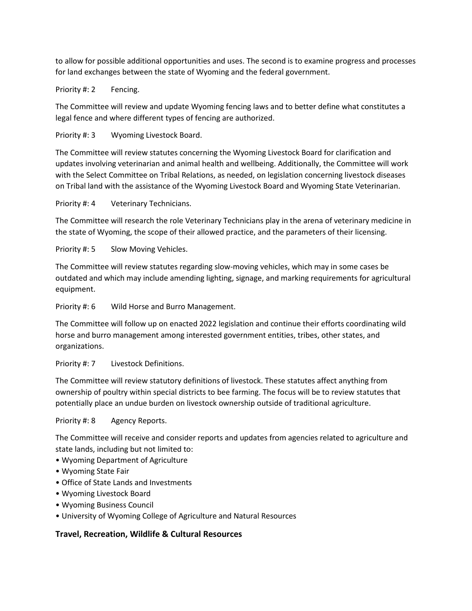to allow for possible additional opportunities and uses. The second is to examine progress and processes for land exchanges between the state of Wyoming and the federal government.

Priority #: 2 Fencing.

The Committee will review and update Wyoming fencing laws and to better define what constitutes a legal fence and where different types of fencing are authorized.

Priority #: 3 Wyoming Livestock Board.

The Committee will review statutes concerning the Wyoming Livestock Board for clarification and updates involving veterinarian and animal health and wellbeing. Additionally, the Committee will work with the Select Committee on Tribal Relations, as needed, on legislation concerning livestock diseases on Tribal land with the assistance of the Wyoming Livestock Board and Wyoming State Veterinarian.

Priority #: 4 Veterinary Technicians.

The Committee will research the role Veterinary Technicians play in the arena of veterinary medicine in the state of Wyoming, the scope of their allowed practice, and the parameters of their licensing.

Priority #: 5 Slow Moving Vehicles.

The Committee will review statutes regarding slow-moving vehicles, which may in some cases be outdated and which may include amending lighting, signage, and marking requirements for agricultural equipment.

Priority #: 6 Wild Horse and Burro Management.

The Committee will follow up on enacted 2022 legislation and continue their efforts coordinating wild horse and burro management among interested government entities, tribes, other states, and organizations.

Priority #: 7 Livestock Definitions.

The Committee will review statutory definitions of livestock. These statutes affect anything from ownership of poultry within special districts to bee farming. The focus will be to review statutes that potentially place an undue burden on livestock ownership outside of traditional agriculture.

Priority #: 8 Agency Reports.

The Committee will receive and consider reports and updates from agencies related to agriculture and state lands, including but not limited to:

- Wyoming Department of Agriculture
- Wyoming State Fair
- Office of State Lands and Investments
- Wyoming Livestock Board
- Wyoming Business Council
- University of Wyoming College of Agriculture and Natural Resources

## **Travel, Recreation, Wildlife & Cultural Resources**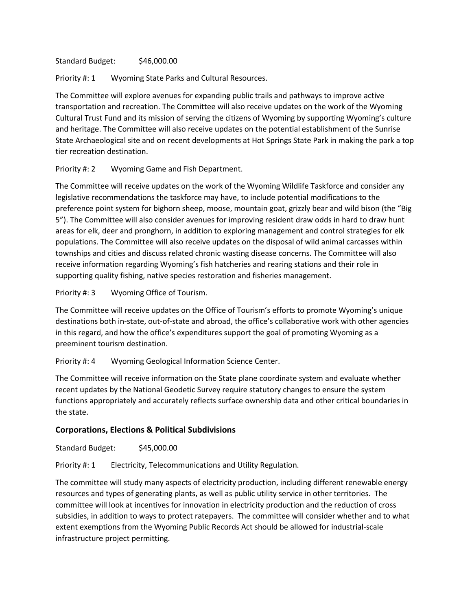Standard Budget: \$46,000.00

Priority #: 1 Wyoming State Parks and Cultural Resources.

The Committee will explore avenues for expanding public trails and pathways to improve active transportation and recreation. The Committee will also receive updates on the work of the Wyoming Cultural Trust Fund and its mission of serving the citizens of Wyoming by supporting Wyoming's culture and heritage. The Committee will also receive updates on the potential establishment of the Sunrise State Archaeological site and on recent developments at Hot Springs State Park in making the park a top tier recreation destination.

Priority #: 2 Wyoming Game and Fish Department.

The Committee will receive updates on the work of the Wyoming Wildlife Taskforce and consider any legislative recommendations the taskforce may have, to include potential modifications to the preference point system for bighorn sheep, moose, mountain goat, grizzly bear and wild bison (the "Big 5"). The Committee will also consider avenues for improving resident draw odds in hard to draw hunt areas for elk, deer and pronghorn, in addition to exploring management and control strategies for elk populations. The Committee will also receive updates on the disposal of wild animal carcasses within townships and cities and discuss related chronic wasting disease concerns. The Committee will also receive information regarding Wyoming's fish hatcheries and rearing stations and their role in supporting quality fishing, native species restoration and fisheries management.

Priority #: 3 Wyoming Office of Tourism.

The Committee will receive updates on the Office of Tourism's efforts to promote Wyoming's unique destinations both in-state, out-of-state and abroad, the office's collaborative work with other agencies in this regard, and how the office's expenditures support the goal of promoting Wyoming as a preeminent tourism destination.

Priority #: 4 Wyoming Geological Information Science Center.

The Committee will receive information on the State plane coordinate system and evaluate whether recent updates by the National Geodetic Survey require statutory changes to ensure the system functions appropriately and accurately reflects surface ownership data and other critical boundaries in the state.

## **Corporations, Elections & Political Subdivisions**

Standard Budget: \$45,000.00

Priority #: 1 Electricity, Telecommunications and Utility Regulation.

The committee will study many aspects of electricity production, including different renewable energy resources and types of generating plants, as well as public utility service in other territories. The committee will look at incentives for innovation in electricity production and the reduction of cross subsidies, in addition to ways to protect ratepayers. The committee will consider whether and to what extent exemptions from the Wyoming Public Records Act should be allowed for industrial-scale infrastructure project permitting.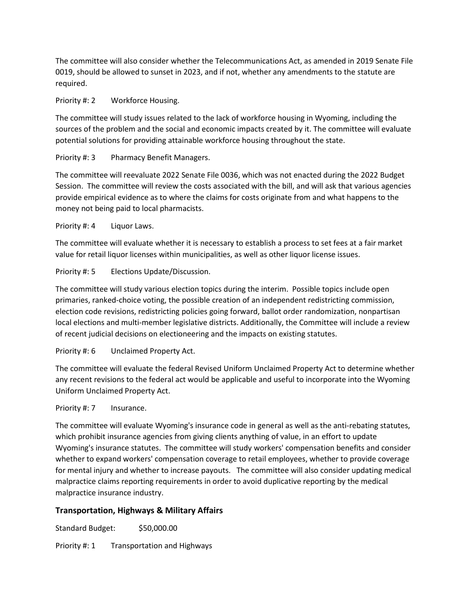The committee will also consider whether the Telecommunications Act, as amended in 2019 Senate File 0019, should be allowed to sunset in 2023, and if not, whether any amendments to the statute are required.

#### Priority #: 2 Workforce Housing.

The committee will study issues related to the lack of workforce housing in Wyoming, including the sources of the problem and the social and economic impacts created by it. The committee will evaluate potential solutions for providing attainable workforce housing throughout the state.

## Priority #: 3 Pharmacy Benefit Managers.

The committee will reevaluate 2022 Senate File 0036, which was not enacted during the 2022 Budget Session. The committee will review the costs associated with the bill, and will ask that various agencies provide empirical evidence as to where the claims for costs originate from and what happens to the money not being paid to local pharmacists.

Priority #: 4 Liquor Laws.

The committee will evaluate whether it is necessary to establish a process to set fees at a fair market value for retail liquor licenses within municipalities, as well as other liquor license issues.

# Priority #: 5 Elections Update/Discussion.

The committee will study various election topics during the interim. Possible topics include open primaries, ranked-choice voting, the possible creation of an independent redistricting commission, election code revisions, redistricting policies going forward, ballot order randomization, nonpartisan local elections and multi-member legislative districts. Additionally, the Committee will include a review of recent judicial decisions on electioneering and the impacts on existing statutes.

Priority #: 6 Unclaimed Property Act.

The committee will evaluate the federal Revised Uniform Unclaimed Property Act to determine whether any recent revisions to the federal act would be applicable and useful to incorporate into the Wyoming Uniform Unclaimed Property Act.

## Priority #: 7 Insurance.

The committee will evaluate Wyoming's insurance code in general as well as the anti-rebating statutes, which prohibit insurance agencies from giving clients anything of value, in an effort to update Wyoming's insurance statutes. The committee will study workers' compensation benefits and consider whether to expand workers' compensation coverage to retail employees, whether to provide coverage for mental injury and whether to increase payouts. The committee will also consider updating medical malpractice claims reporting requirements in order to avoid duplicative reporting by the medical malpractice insurance industry.

## **Transportation, Highways & Military Affairs**

Standard Budget: \$50,000.00

Priority #: 1 Transportation and Highways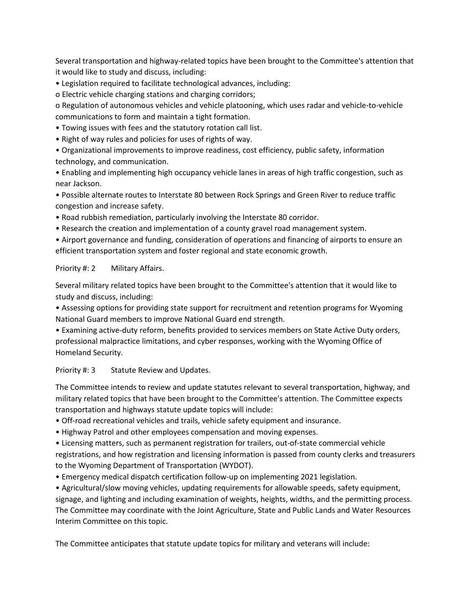Several transportation and highway-related topics have been brought to the Committee's attention that it would like to study and discuss, including:

• Legislation required to facilitate technological advances, including:

o Electric vehicle charging stations and charging corridors;

o Regulation of autonomous vehicles and vehicle platooning, which uses radar and vehicle-to-vehicle communications to form and maintain a tight formation.

• Towing issues with fees and the statutory rotation call list.

• Right of way rules and policies for uses of rights of way.

• Organizational improvements to improve readiness, cost efficiency, public safety, information technology, and communication.

• Enabling and implementing high occupancy vehicle lanes in areas of high traffic congestion, such as near Jackson.

• Possible alternate routes to Interstate 80 between Rock Springs and Green River to reduce traffic congestion and increase safety.

• Road rubbish remediation, particularly involving the Interstate 80 corridor.

• Research the creation and implementation of a county gravel road management system.

• Airport governance and funding, consideration of operations and financing of airports to ensure an efficient transportation system and foster regional and state economic growth.

#### Priority #: 2 Military Affairs.

Several military related topics have been brought to the Committee's attention that it would like to study and discuss, including:

• Assessing options for providing state support for recruitment and retention programs for Wyoming National Guard members to improve National Guard end strength.

• Examining active-duty reform, benefits provided to services members on State Active Duty orders, professional malpractice limitations, and cyber responses, working with the Wyoming Office of Homeland Security.

Priority #: 3 Statute Review and Updates.

The Committee intends to review and update statutes relevant to several transportation, highway, and military related topics that have been brought to the Committee's attention. The Committee expects transportation and highways statute update topics will include:

• Off-road recreational vehicles and trails, vehicle safety equipment and insurance.

• Highway Patrol and other employees compensation and moving expenses.

• Licensing matters, such as permanent registration for trailers, out-of-state commercial vehicle registrations, and how registration and licensing information is passed from county clerks and treasurers to the Wyoming Department of Transportation (WYDOT).

• Emergency medical dispatch certification follow-up on implementing 2021 legislation.

• Agricultural/slow moving vehicles, updating requirements for allowable speeds, safety equipment, signage, and lighting and including examination of weights, heights, widths, and the permitting process. The Committee may coordinate with the Joint Agriculture, State and Public Lands and Water Resources Interim Committee on this topic.

The Committee anticipates that statute update topics for military and veterans will include: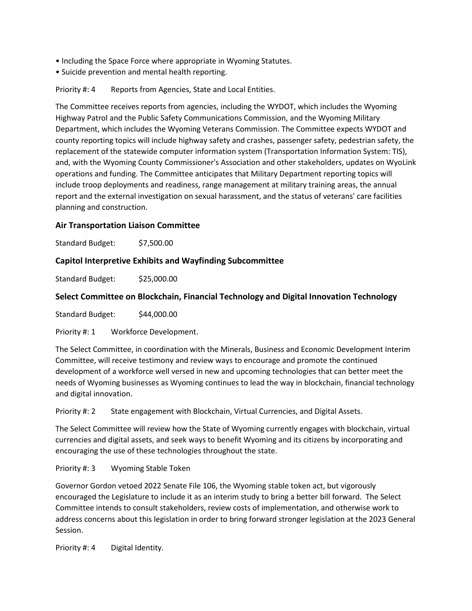- Including the Space Force where appropriate in Wyoming Statutes.
- Suicide prevention and mental health reporting.

Priority #: 4 Reports from Agencies, State and Local Entities.

The Committee receives reports from agencies, including the WYDOT, which includes the Wyoming Highway Patrol and the Public Safety Communications Commission, and the Wyoming Military Department, which includes the Wyoming Veterans Commission. The Committee expects WYDOT and county reporting topics will include highway safety and crashes, passenger safety, pedestrian safety, the replacement of the statewide computer information system (Transportation Information System: TIS), and, with the Wyoming County Commissioner's Association and other stakeholders, updates on WyoLink operations and funding. The Committee anticipates that Military Department reporting topics will include troop deployments and readiness, range management at military training areas, the annual report and the external investigation on sexual harassment, and the status of veterans' care facilities planning and construction.

## **Air Transportation Liaison Committee**

Standard Budget: \$7,500.00

#### **Capitol Interpretive Exhibits and Wayfinding Subcommittee**

Standard Budget: \$25,000.00

#### **Select Committee on Blockchain, Financial Technology and Digital Innovation Technology**

Standard Budget: \$44,000.00

Priority #: 1 Workforce Development.

The Select Committee, in coordination with the Minerals, Business and Economic Development Interim Committee, will receive testimony and review ways to encourage and promote the continued development of a workforce well versed in new and upcoming technologies that can better meet the needs of Wyoming businesses as Wyoming continues to lead the way in blockchain, financial technology and digital innovation.

Priority #: 2 State engagement with Blockchain, Virtual Currencies, and Digital Assets.

The Select Committee will review how the State of Wyoming currently engages with blockchain, virtual currencies and digital assets, and seek ways to benefit Wyoming and its citizens by incorporating and encouraging the use of these technologies throughout the state.

Priority #: 3 Wyoming Stable Token

Governor Gordon vetoed 2022 Senate File 106, the Wyoming stable token act, but vigorously encouraged the Legislature to include it as an interim study to bring a better bill forward. The Select Committee intends to consult stakeholders, review costs of implementation, and otherwise work to address concerns about this legislation in order to bring forward stronger legislation at the 2023 General Session.

Priority #: 4 Digital Identity.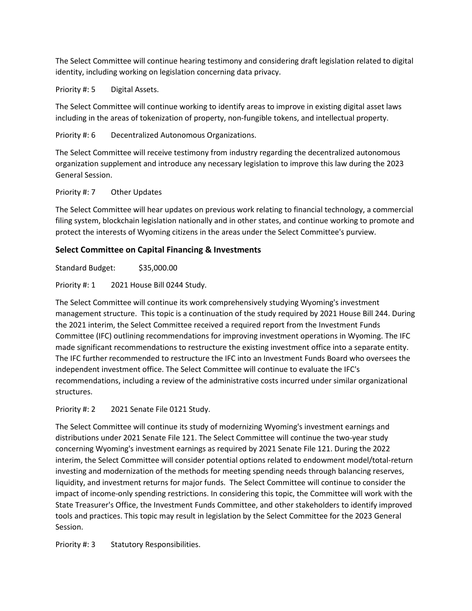The Select Committee will continue hearing testimony and considering draft legislation related to digital identity, including working on legislation concerning data privacy.

Priority #: 5 Digital Assets.

The Select Committee will continue working to identify areas to improve in existing digital asset laws including in the areas of tokenization of property, non-fungible tokens, and intellectual property.

Priority #: 6 Decentralized Autonomous Organizations.

The Select Committee will receive testimony from industry regarding the decentralized autonomous organization supplement and introduce any necessary legislation to improve this law during the 2023 General Session.

#### Priority #: 7 Other Updates

The Select Committee will hear updates on previous work relating to financial technology, a commercial filing system, blockchain legislation nationally and in other states, and continue working to promote and protect the interests of Wyoming citizens in the areas under the Select Committee's purview.

# **Select Committee on Capital Financing & Investments**

Standard Budget: \$35,000.00

Priority #: 1 2021 House Bill 0244 Study.

The Select Committee will continue its work comprehensively studying Wyoming's investment management structure. This topic is a continuation of the study required by 2021 House Bill 244. During the 2021 interim, the Select Committee received a required report from the Investment Funds Committee (IFC) outlining recommendations for improving investment operations in Wyoming. The IFC made significant recommendations to restructure the existing investment office into a separate entity. The IFC further recommended to restructure the IFC into an Investment Funds Board who oversees the independent investment office. The Select Committee will continue to evaluate the IFC's recommendations, including a review of the administrative costs incurred under similar organizational structures.

Priority #: 2 2021 Senate File 0121 Study.

The Select Committee will continue its study of modernizing Wyoming's investment earnings and distributions under 2021 Senate File 121. The Select Committee will continue the two-year study concerning Wyoming's investment earnings as required by 2021 Senate File 121. During the 2022 interim, the Select Committee will consider potential options related to endowment model/total-return investing and modernization of the methods for meeting spending needs through balancing reserves, liquidity, and investment returns for major funds. The Select Committee will continue to consider the impact of income-only spending restrictions. In considering this topic, the Committee will work with the State Treasurer's Office, the Investment Funds Committee, and other stakeholders to identify improved tools and practices. This topic may result in legislation by the Select Committee for the 2023 General Session.

Priority #: 3 Statutory Responsibilities.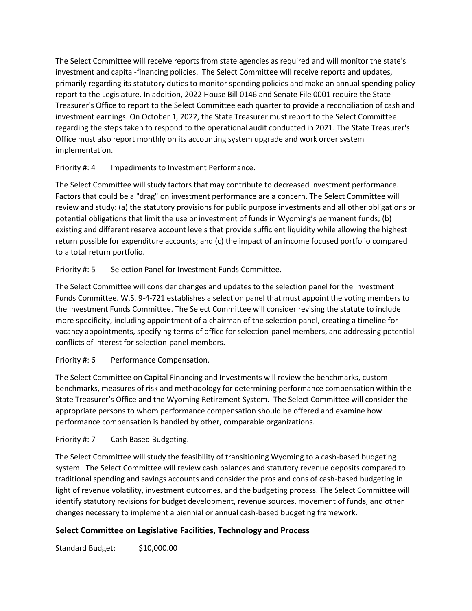The Select Committee will receive reports from state agencies as required and will monitor the state's investment and capital-financing policies. The Select Committee will receive reports and updates, primarily regarding its statutory duties to monitor spending policies and make an annual spending policy report to the Legislature. In addition, 2022 House Bill 0146 and Senate File 0001 require the State Treasurer's Office to report to the Select Committee each quarter to provide a reconciliation of cash and investment earnings. On October 1, 2022, the State Treasurer must report to the Select Committee regarding the steps taken to respond to the operational audit conducted in 2021. The State Treasurer's Office must also report monthly on its accounting system upgrade and work order system implementation.

# Priority #: 4 Impediments to Investment Performance.

The Select Committee will study factors that may contribute to decreased investment performance. Factors that could be a "drag" on investment performance are a concern. The Select Committee will review and study: (a) the statutory provisions for public purpose investments and all other obligations or potential obligations that limit the use or investment of funds in Wyoming's permanent funds; (b) existing and different reserve account levels that provide sufficient liquidity while allowing the highest return possible for expenditure accounts; and (c) the impact of an income focused portfolio compared to a total return portfolio.

# Priority #: 5 Selection Panel for Investment Funds Committee.

The Select Committee will consider changes and updates to the selection panel for the Investment Funds Committee. W.S. 9-4-721 establishes a selection panel that must appoint the voting members to the Investment Funds Committee. The Select Committee will consider revising the statute to include more specificity, including appointment of a chairman of the selection panel, creating a timeline for vacancy appointments, specifying terms of office for selection-panel members, and addressing potential conflicts of interest for selection-panel members.

# Priority #: 6 Performance Compensation.

The Select Committee on Capital Financing and Investments will review the benchmarks, custom benchmarks, measures of risk and methodology for determining performance compensation within the State Treasurer's Office and the Wyoming Retirement System. The Select Committee will consider the appropriate persons to whom performance compensation should be offered and examine how performance compensation is handled by other, comparable organizations.

# Priority #: 7 Cash Based Budgeting.

The Select Committee will study the feasibility of transitioning Wyoming to a cash-based budgeting system. The Select Committee will review cash balances and statutory revenue deposits compared to traditional spending and savings accounts and consider the pros and cons of cash-based budgeting in light of revenue volatility, investment outcomes, and the budgeting process. The Select Committee will identify statutory revisions for budget development, revenue sources, movement of funds, and other changes necessary to implement a biennial or annual cash-based budgeting framework.

# **Select Committee on Legislative Facilities, Technology and Process**

Standard Budget: \$10,000.00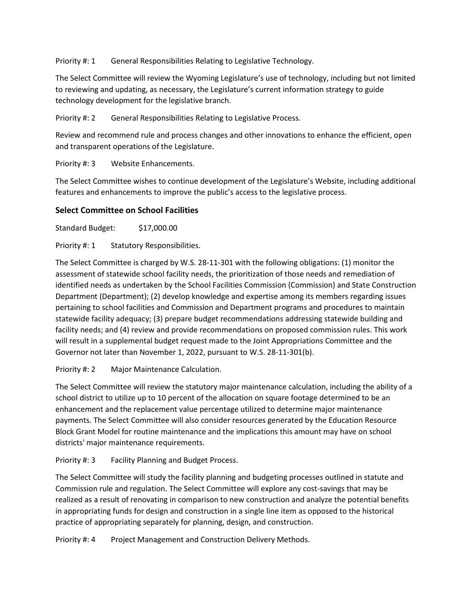Priority #: 1 General Responsibilities Relating to Legislative Technology.

The Select Committee will review the Wyoming Legislature's use of technology, including but not limited to reviewing and updating, as necessary, the Legislature's current information strategy to guide technology development for the legislative branch.

Priority #: 2 General Responsibilities Relating to Legislative Process.

Review and recommend rule and process changes and other innovations to enhance the efficient, open and transparent operations of the Legislature.

Priority #: 3 Website Enhancements.

The Select Committee wishes to continue development of the Legislature's Website, including additional features and enhancements to improve the public's access to the legislative process.

## **Select Committee on School Facilities**

Standard Budget: \$17,000.00

Priority #: 1 Statutory Responsibilities.

The Select Committee is charged by W.S. 28-11-301 with the following obligations: (1) monitor the assessment of statewide school facility needs, the prioritization of those needs and remediation of identified needs as undertaken by the School Facilities Commission (Commission) and State Construction Department (Department); (2) develop knowledge and expertise among its members regarding issues pertaining to school facilities and Commission and Department programs and procedures to maintain statewide facility adequacy; (3) prepare budget recommendations addressing statewide building and facility needs; and (4) review and provide recommendations on proposed commission rules. This work will result in a supplemental budget request made to the Joint Appropriations Committee and the Governor not later than November 1, 2022, pursuant to W.S. 28-11-301(b).

Priority #: 2 Major Maintenance Calculation.

The Select Committee will review the statutory major maintenance calculation, including the ability of a school district to utilize up to 10 percent of the allocation on square footage determined to be an enhancement and the replacement value percentage utilized to determine major maintenance payments. The Select Committee will also consider resources generated by the Education Resource Block Grant Model for routine maintenance and the implications this amount may have on school districts' major maintenance requirements.

Priority #: 3 Facility Planning and Budget Process.

The Select Committee will study the facility planning and budgeting processes outlined in statute and Commission rule and regulation. The Select Committee will explore any cost-savings that may be realized as a result of renovating in comparison to new construction and analyze the potential benefits in appropriating funds for design and construction in a single line item as opposed to the historical practice of appropriating separately for planning, design, and construction.

Priority #: 4 Project Management and Construction Delivery Methods.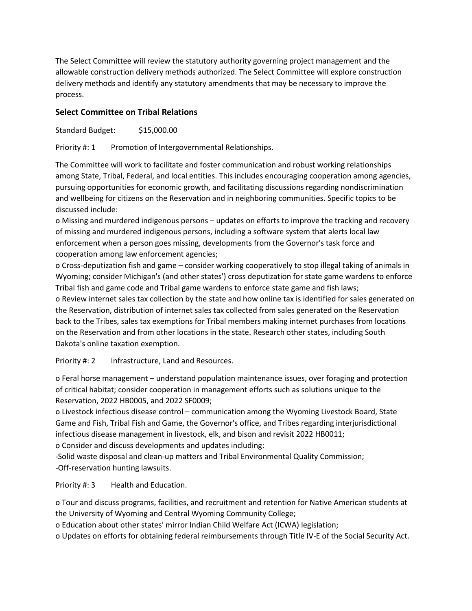The Select Committee will review the statutory authority governing project management and the allowable construction delivery methods authorized. The Select Committee will explore construction delivery methods and identify any statutory amendments that may be necessary to improve the process.

# **Select Committee on Tribal Relations**

Standard Budget: \$15,000.00

Priority #: 1 Promotion of Intergovernmental Relationships.

The Committee will work to facilitate and foster communication and robust working relationships among State, Tribal, Federal, and local entities. This includes encouraging cooperation among agencies, pursuing opportunities for economic growth, and facilitating discussions regarding nondiscrimination and wellbeing for citizens on the Reservation and in neighboring communities. Specific topics to be discussed include:

o Missing and murdered indigenous persons – updates on efforts to improve the tracking and recovery of missing and murdered indigenous persons, including a software system that alerts local law enforcement when a person goes missing, developments from the Governor's task force and cooperation among law enforcement agencies;

o Cross-deputization fish and game – consider working cooperatively to stop illegal taking of animals in Wyoming; consider Michigan's (and other states') cross deputization for state game wardens to enforce Tribal fish and game code and Tribal game wardens to enforce state game and fish laws;

o Review internet sales tax collection by the state and how online tax is identified for sales generated on the Reservation, distribution of internet sales tax collected from sales generated on the Reservation back to the Tribes, sales tax exemptions for Tribal members making internet purchases from locations on the Reservation and from other locations in the state. Research other states, including South Dakota's online taxation exemption.

Priority #: 2 Infrastructure, Land and Resources.

o Feral horse management – understand population maintenance issues, over foraging and protection of critical habitat; consider cooperation in management efforts such as solutions unique to the Reservation, 2022 HB0005, and 2022 SF0009;

o Livestock infectious disease control – communication among the Wyoming Livestock Board, State Game and Fish, Tribal Fish and Game, the Governor's office, and Tribes regarding interjurisdictional infectious disease management in livestock, elk, and bison and revisit 2022 HB0011; o Consider and discuss developments and updates including:

-Solid waste disposal and clean-up matters and Tribal Environmental Quality Commission; -Off-reservation hunting lawsuits.

Priority #: 3 Health and Education.

o Tour and discuss programs, facilities, and recruitment and retention for Native American students at the University of Wyoming and Central Wyoming Community College;

o Education about other states' mirror Indian Child Welfare Act (ICWA) legislation;

o Updates on efforts for obtaining federal reimbursements through Title IV-E of the Social Security Act.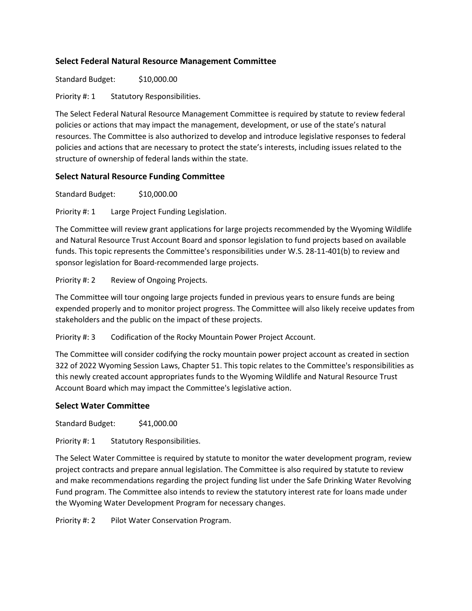## **Select Federal Natural Resource Management Committee**

Standard Budget: \$10,000.00

Priority #: 1 Statutory Responsibilities.

The Select Federal Natural Resource Management Committee is required by statute to review federal policies or actions that may impact the management, development, or use of the state's natural resources. The Committee is also authorized to develop and introduce legislative responses to federal policies and actions that are necessary to protect the state's interests, including issues related to the structure of ownership of federal lands within the state.

# **Select Natural Resource Funding Committee**

Standard Budget: \$10,000.00

Priority #: 1 Large Project Funding Legislation.

The Committee will review grant applications for large projects recommended by the Wyoming Wildlife and Natural Resource Trust Account Board and sponsor legislation to fund projects based on available funds. This topic represents the Committee's responsibilities under W.S. 28-11-401(b) to review and sponsor legislation for Board-recommended large projects.

Priority #: 2 Review of Ongoing Projects.

The Committee will tour ongoing large projects funded in previous years to ensure funds are being expended properly and to monitor project progress. The Committee will also likely receive updates from stakeholders and the public on the impact of these projects.

Priority #: 3 Codification of the Rocky Mountain Power Project Account.

The Committee will consider codifying the rocky mountain power project account as created in section 322 of 2022 Wyoming Session Laws, Chapter 51. This topic relates to the Committee's responsibilities as this newly created account appropriates funds to the Wyoming Wildlife and Natural Resource Trust Account Board which may impact the Committee's legislative action.

## **Select Water Committee**

Standard Budget: \$41,000.00

Priority #: 1 Statutory Responsibilities.

The Select Water Committee is required by statute to monitor the water development program, review project contracts and prepare annual legislation. The Committee is also required by statute to review and make recommendations regarding the project funding list under the Safe Drinking Water Revolving Fund program. The Committee also intends to review the statutory interest rate for loans made under the Wyoming Water Development Program for necessary changes.

Priority #: 2 Pilot Water Conservation Program.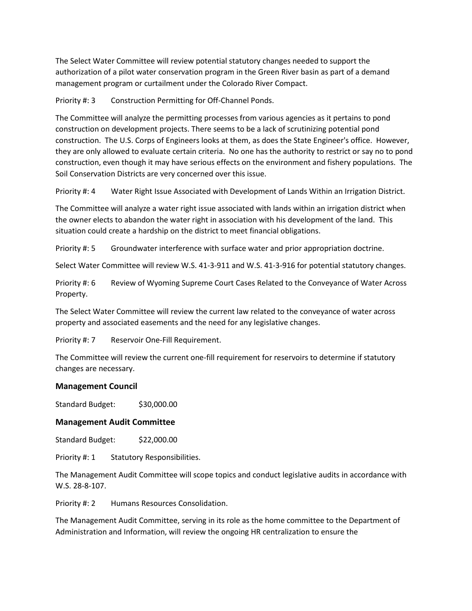The Select Water Committee will review potential statutory changes needed to support the authorization of a pilot water conservation program in the Green River basin as part of a demand management program or curtailment under the Colorado River Compact.

Priority #: 3 Construction Permitting for Off-Channel Ponds.

The Committee will analyze the permitting processes from various agencies as it pertains to pond construction on development projects. There seems to be a lack of scrutinizing potential pond construction. The U.S. Corps of Engineers looks at them, as does the State Engineer's office. However, they are only allowed to evaluate certain criteria. No one has the authority to restrict or say no to pond construction, even though it may have serious effects on the environment and fishery populations. The Soil Conservation Districts are very concerned over this issue.

Priority #: 4 Water Right Issue Associated with Development of Lands Within an Irrigation District.

The Committee will analyze a water right issue associated with lands within an irrigation district when the owner elects to abandon the water right in association with his development of the land. This situation could create a hardship on the district to meet financial obligations.

Priority #: 5 Groundwater interference with surface water and prior appropriation doctrine.

Select Water Committee will review W.S. 41-3-911 and W.S. 41-3-916 for potential statutory changes.

Priority #: 6 Review of Wyoming Supreme Court Cases Related to the Conveyance of Water Across Property.

The Select Water Committee will review the current law related to the conveyance of water across property and associated easements and the need for any legislative changes.

Priority #: 7 Reservoir One-Fill Requirement.

The Committee will review the current one-fill requirement for reservoirs to determine if statutory changes are necessary.

#### **Management Council**

Standard Budget: \$30,000.00

#### **Management Audit Committee**

Standard Budget: \$22,000.00

Priority #: 1 Statutory Responsibilities.

The Management Audit Committee will scope topics and conduct legislative audits in accordance with W.S. 28-8-107.

Priority #: 2 Humans Resources Consolidation.

The Management Audit Committee, serving in its role as the home committee to the Department of Administration and Information, will review the ongoing HR centralization to ensure the